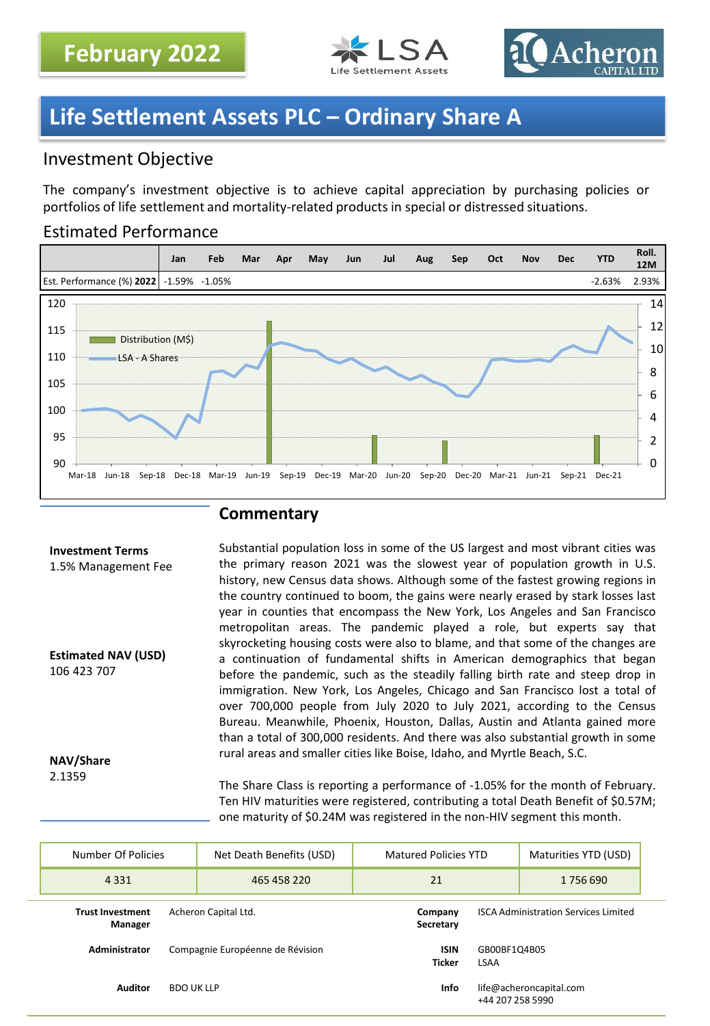



# **Life Settlement Assets PLC – Ordinary Share A**

# Investment Objective

The company's investment objective is to achieve capital appreciation by purchasing policies or portfolios of life settlement and mortality-related products in special or distressed situations.

## Estimated Performance



## **Commentary**

#### **Investment Terms** 1.5% Management Fee **Estimated NAV (USD)** 106 423 707 Substantial population loss in some of the US largest and most vibrant cities was the primary reason 2021 was the slowest year of population growth in U.S. history, new Census data shows. Although some of the fastest growing regions in the country continued to boom, the gains were nearly erased by stark losses last year in counties that encompass the New York, Los Angeles and San Francisco metropolitan areas. The pandemic played a role, but experts say that skyrocketing housing costs were also to blame, and that some of the changes are a continuation of fundamental shifts in American demographics that began before the pandemic, such as the steadily falling birth rate and steep drop in immigration. New York, Los Angeles, Chicago and San Francisco lost a total of over 700,000 people from July 2020 to July 2021, according to the Census

**NAV/Share** 2.1359

rural areas and smaller cities like Boise, Idaho, and Myrtle Beach, S.C. The Share Class is reporting a performance of -1.05% for the month of February. Ten HIV maturities were registered, contributing a total Death Benefit of \$0.57M; one maturity of \$0.24M was registered in the non-HIV segment this month.

Bureau. Meanwhile, Phoenix, Houston, Dallas, Austin and Atlanta gained more than a total of 300,000 residents. And there was also substantial growth in some

| Number Of Policies                                         | Net Death Benefits (USD)         | <b>Matured Policies YTD</b>                                |                                             | Maturities YTD (USD) |
|------------------------------------------------------------|----------------------------------|------------------------------------------------------------|---------------------------------------------|----------------------|
| 4 3 3 1                                                    | 465 458 220                      | 21                                                         |                                             |                      |
| Acheron Capital Ltd.<br><b>Trust Investment</b><br>Manager |                                  | Company<br>Secretary                                       | <b>ISCA Administration Services Limited</b> |                      |
| Administrator                                              | Compagnie Européenne de Révision | <b>ISIN</b><br><b>Ticker</b>                               | GB00BF1Q4B05<br>LSAA                        |                      |
| <b>Auditor</b><br><b>BDO UK LLP</b>                        |                                  | <b>Info</b><br>life@acheroncapital.com<br>+44 207 258 5990 |                                             |                      |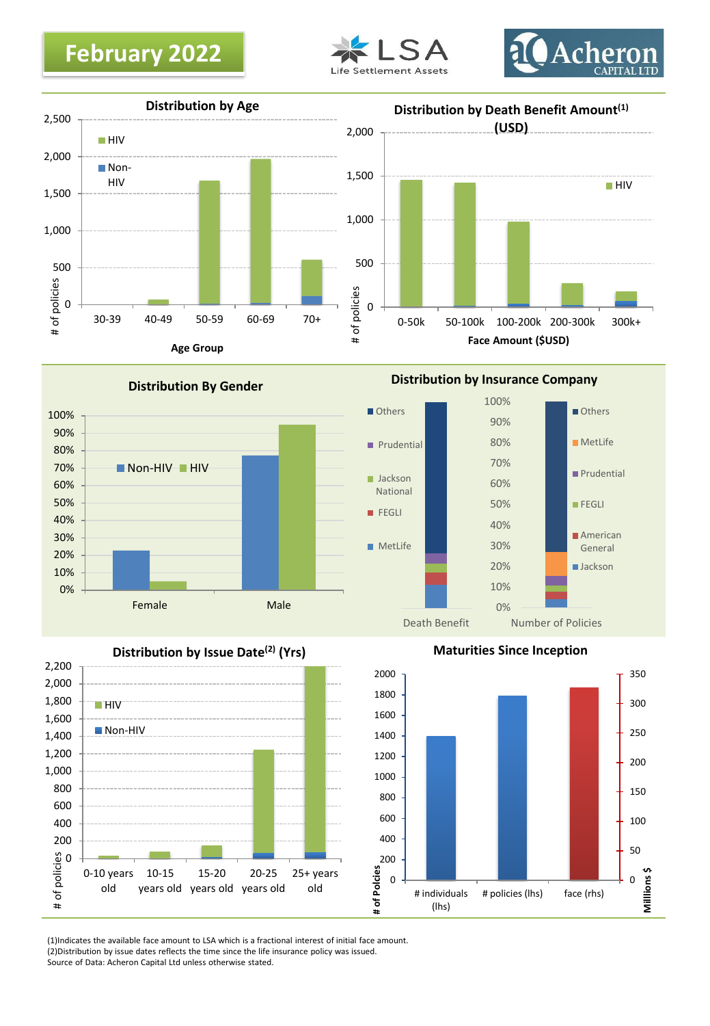







Others

**Prudential** 

**Jackson** National **FEGLI** 

**Distribution By Gender**



**Distribution by Issue Date(2) (Yrs)**



**Maturities Since Inception**

Number of Policies

Others

**MetLife** 

**Prudential** 

**American** General **Jackson** 

**FEGLI** 

0% 10% 20% 30% 40% 50% 60% 70% 80% 90% 100%

**Distribution by Insurance Company**

Death Benefit



(1)Indicates the available face amount to LSA which is a fractional interest of initial face amount. (2)Distribution by issue dates reflects the time since the life insurance policy was issued. Source of Data: Acheron Capital Ltd unless otherwise stated.